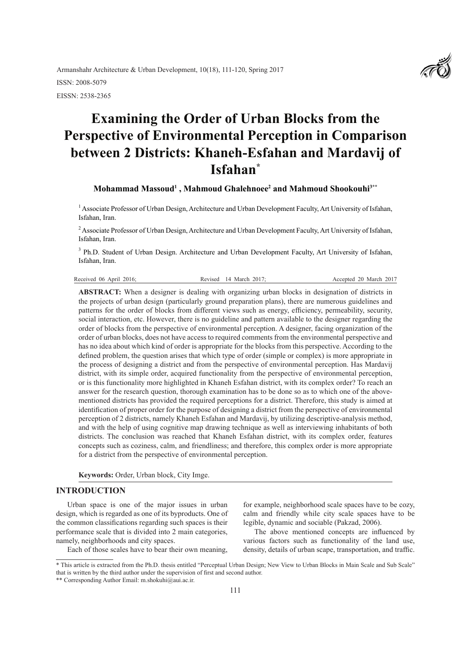Armanshahr Architecture & Urban Development, 10(18), 111-120, Spring 2017 ISSN: 2008-5079 EISSN: 2538-2365

# **Examining the Order of Urban Blocks from the Perspective of Environmental Perception in Comparison between 2 Districts: Khaneh-Esfahan and Mardavij of Isfahan\***

**Mohammad Massoud1 , Mahmoud Ghalehnoee2 and Mahmoud Shookouhi3\*\***

<sup>1</sup> Associate Professor of Urban Design, Architecture and Urban Development Faculty, Art University of Isfahan, Isfahan, Iran.

<sup>2</sup> Associate Professor of Urban Design, Architecture and Urban Development Faculty, Art University of Isfahan, Isfahan, Iran.

<sup>3</sup> Ph.D. Student of Urban Design. Architecture and Urban Development Faculty, Art University of Isfahan, Isfahan, Iran.

|  | Received 06 April 2016: | Revised 14 March 2017: | Accepted 20 March 2017 |
|--|-------------------------|------------------------|------------------------|
|--|-------------------------|------------------------|------------------------|

**ABSTRACT:** When a designer is dealing with organizing urban blocks in designation of districts in the projects of urban design (particularly ground preparation plans), there are numerous guidelines and patterns for the order of blocks from different views such as energy, efficiency, permeability, security, social interaction, etc. However, there is no guideline and pattern available to the designer regarding the order of blocks from the perspective of environmental perception. A designer, facing organization of the order of urban blocks, does not have access to required comments from the environmental perspective and has no idea about which kind of order is appropriate for the blocks from this perspective. According to the defined problem, the question arises that which type of order (simple or complex) is more appropriate in the process of designing a district and from the perspective of environmental perception. Has Mardavij district, with its simple order, acquired functionality from the perspective of environmental perception, or is this functionality more highlighted in Khaneh Esfahan district, with its complex order? To reach an answer for the research question, thorough examination has to be done so as to which one of the abovementioned districts has provided the required perceptions for a district. Therefore, this study is aimed at identification of proper order for the purpose of designing a district from the perspective of environmental perception of 2 districts, namely Khaneh Esfahan and Mardavij, by utilizing descriptive-analysis method, and with the help of using cognitive map drawing technique as well as interviewing inhabitants of both districts. The conclusion was reached that Khaneh Esfahan district, with its complex order, features concepts such as coziness, calm, and friendliness; and therefore, this complex order is more appropriate for a district from the perspective of environmental perception.

**Keywords:** Order, Urban block, City Imge.

#### **INTRODUCTION**

Urban space is one of the major issues in urban design, which is regarded as one of its byproducts. One of the common classifications regarding such spaces is their performance scale that is divided into 2 main categories, namely, neighborhoods and city spaces.

Each of those scales have to bear their own meaning,

for example, neighborhood scale spaces have to be cozy, calm and friendly while city scale spaces have to be legible, dynamic and sociable (Pakzad, 2006).

The above mentioned concepts are influenced by various factors such as functionality of the land use, density, details of urban scape, transportation, and traffic.



<sup>\*</sup> This article is extracted from the Ph.D. thesis entitled "Perceptual Urban Design; New View to Urban Blocks in Main Scale and Sub Scale" that is written by the third author under the supervision of first and second author.

<sup>\*\*</sup> Corresponding Author Email: m.shokuhi@aui.ac.ir.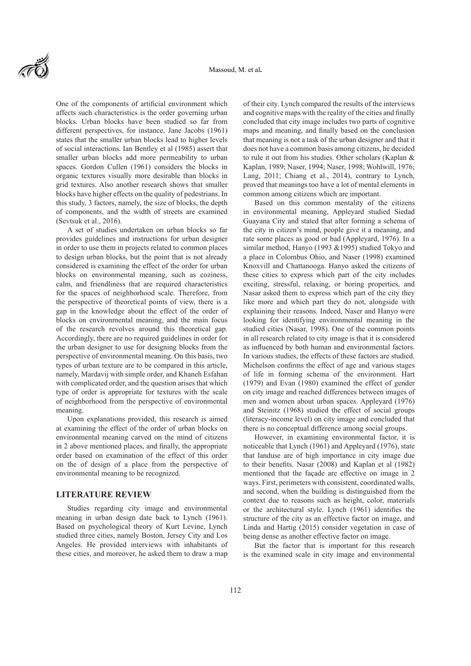

One of the components of artificial environment which affects such characteristics is the order governing urban blocks. Urban blocks have been studied so far from different perspectives, for instance, Jane Jacobs (1961) states that the smaller urban blocks lead to higher levels of social interactions. Ian Bentley et al (1985) assert that smaller urban blocks add more permeability to urban spaces. Gordon Cullen (1961) considers the blocks in organic textures visually more desirable than blocks in grid textures. Also another research shows that smaller blocks have higher effects on the quality of pedestrians. In this study, 3 factors, namely, the size of blocks, the depth of components, and the width of streets are examined (Sevtsuk et al., 2016).

A set of studies undertaken on urban blocks so far provides guidelines and instructions for urban designer in order to use them in projects related to common places to design urban blocks, but the point that is not already considered is examining the effect of the order for urban blocks on environmental meaning, such as coziness, calm, and friendliness that are required characteristics for the spaces of neighborhood scale. Therefore, from the perspective of theoretical points of view, there is a gap in the knowledge about the effect of the order of blocks on environmental meaning, and the main focus of the research revolves around this theoretical gap. Accordingly, there are no required guidelines in order for the urban designer to use for designing blocks from the perspective of environmental meaning. On this basis, two types of urban texture are to be compared in this article, namely, Mardavij with simple order, and Khaneh Esfahan with complicated order, and the question arises that which type of order is appropriate for textures with the scale of neighborhood from the perspective of environmental meaning.

Upon explanations provided, this research is aimed at examining the effect of the order of urban blocks on environmental meaning carved on the mind of citizens in 2 above mentioned places, and finally, the appropriate order based on examination of the effect of this order on the of design of a place from the perspective of environmental meaning to be recognized.

#### **LITERATURE REVIEW**

Studies regarding city image and environmental meaning in urban design date back to Lynch (1961). Based on psychological theory of Kurt Levine, Lynch studied three cities, namely Boston, Jersey City and Los Angeles. He provided interviews with inhabitants of these cities, and moreover, he asked them to draw a map

of their city. Lynch compared the results of the interviews and cognitive maps with the reality of the cities and finally concluded that city image includes two parts of cognitive maps and meaning, and finally based on the conclusion that meaning is not a task of the urban designer and that it does not have a common basis among citizens, he decided to rule it out from his studies. Other scholars (Kaplan & Kaplan, 1989; Naser, 1994; Naser, 1998; Wohlwill, 1976; Lang, 2011; Chiang et al., 2014), contrary to Lynch, proved that meanings too have a lot of mental elements in common among citizens which are important.

Based on this common mentality of the citizens in environmental meaning, Appleyard studied Siedad Guayana City and stated that after forming a schema of the city in citizen's mind, people give it a meaning, and rate some places as good or bad (Appleyard, 1976). In a similar method, Hanyo (1993 &1995) studied Tokyo and a place in Colombus Ohio, and Naser (1998) examined Knoxvill and Chattanooga. Hanyo asked the citizens of these cities to express which part of the city includes exciting, stressful, relaxing, or boring properties, and Nasar asked them to express which part of the city they like more and which part they do not, alongside with explaining their reasons. Indeed, Naser and Hanyo were looking for identifying environmental meaning in the studied cities (Nasar, 1998). One of the common points in all research related to city image is that it is considered as influenced by both human and environmental factors. In various studies, the effects of these factors are studied. Michelson confirms the effect of age and various stages of life in forming schema of the environment. Hart (1979) and Evan (1980) examined the effect of gender on city image and reached differences between images of men and women about urban spaces. Appleyard (1976) and Steinitz (1968) studied the effect of social groups (literacy-income level) on city image and concluded that there is no conceptual difference among social groups.

However, in examining environmental factor, it is noticeable that Lynch (1961) and Appleyard (1976), state that landuse are of high importance in city image due to their benefits. Nasar (2008) and Kaplan et al (1982) mentioned that the façade are effective on image in 2 ways. First, perimeters with consistent, coordinated walls, and second, when the building is distinguished from the context due to reasons such as height, color, materials or the architectural style. Lynch (1961) identifies the structure of the city as an effective factor on image, and Linda and Hartig (2015) consider vegetation in case of being dense as another effective factor on image.

But the factor that is important for this research is the examined scale in city image and environmental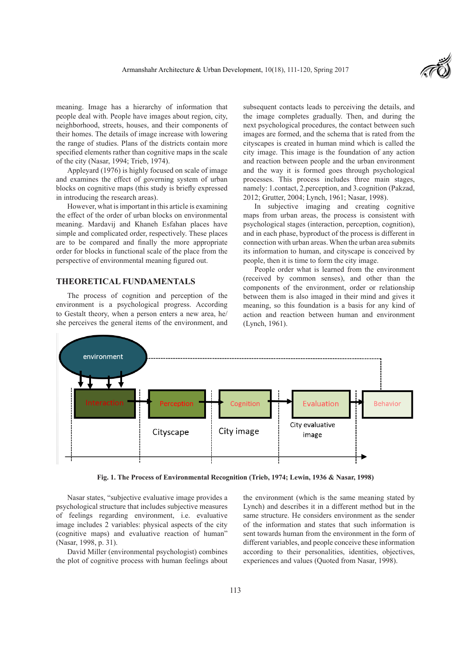

meaning. Image has a hierarchy of information that people deal with. People have images about region, city, neighborhood, streets, houses, and their components of their homes. The details of image increase with lowering the range of studies. Plans of the districts contain more specified elements rather than cognitive maps in the scale of the city (Nasar, 1994; Trieb, 1974).

Appleyard (1976) is highly focused on scale of image and examines the effect of governing system of urban blocks on cognitive maps (this study is briefly expressed in introducing the research areas).

However, what is important in this article is examining the effect of the order of urban blocks on environmental meaning. Mardavij and Khaneh Esfahan places have simple and complicated order, respectively. These places are to be compared and finally the more appropriate order for blocks in functional scale of the place from the perspective of environmental meaning figured out.

### **THEORETICAL FUNDAMENTALS**

The process of cognition and perception of the environment is a psychological progress. According to Gestalt theory, when a person enters a new area, he/ she perceives the general items of the environment, and subsequent contacts leads to perceiving the details, and the image completes gradually. Then, and during the next psychological procedures, the contact between such images are formed, and the schema that is rated from the cityscapes is created in human mind which is called the city image. This image is the foundation of any action and reaction between people and the urban environment and the way it is formed goes through psychological processes. This process includes three main stages, namely: 1.contact, 2.perception, and 3.cognition (Pakzad, 2012; Grutter, 2004; Lynch, 1961; Nasar, 1998).

In subjective imaging and creating cognitive maps from urban areas, the process is consistent with psychological stages (interaction, perception, cognition), and in each phase, byproduct of the process is different in connection with urban areas. When the urban area submits its information to human, and cityscape is conceived by people, then it is time to form the city image.

People order what is learned from the environment (received by common senses), and other than the components of the environment, order or relationship between them is also imaged in their mind and gives it meaning, so this foundation is a basis for any kind of action and reaction between human and environment (Lynch, 1961).



**Fig. 1. The Process of Environmental Recognition (Trieb, 1974; Lewin, 1936 & Nasar, 1998)**

Nasar states, "subjective evaluative image provides a psychological structure that includes subjective measures of feelings regarding environment, i.e. evaluative image includes 2 variables: physical aspects of the city (cognitive maps) and evaluative reaction of human" (Nasar, 1998, p. 31).

David Miller (environmental psychologist) combines the plot of cognitive process with human feelings about the environment (which is the same meaning stated by Lynch) and describes it in a different method but in the same structure. He considers environment as the sender of the information and states that such information is sent towards human from the environment in the form of different variables, and people conceive these information according to their personalities, identities, objectives, experiences and values (Quoted from Nasar, 1998).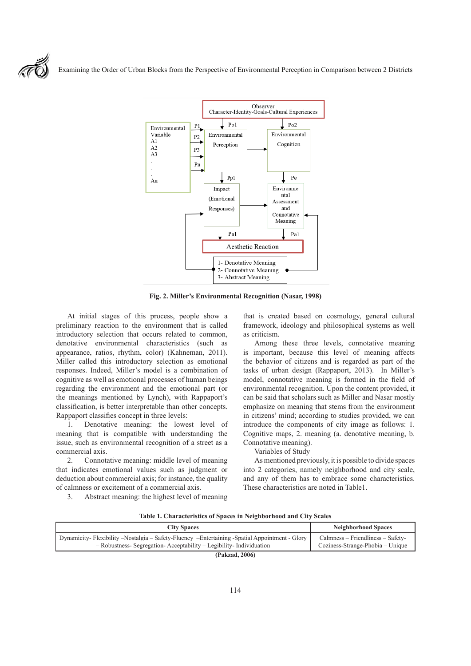Examining the Order of Urban Blocks from the Perspective of Environmental Perception in Comparison between 2 Districts



**Fig. 2. Miller's Environmental Recognition (Nasar, 1998)**

At initial stages of this process, people show a preliminary reaction to the environment that is called introductory selection that occurs related to common, denotative environmental characteristics (such as appearance, ratios, rhythm, color) (Kahneman, 2011). Miller called this introductory selection as emotional responses. Indeed, Miller's model is a combination of cognitive as well as emotional processes of human beings regarding the environment and the emotional part (or the meanings mentioned by Lynch), with Rappaport's classification, is better interpretable than other concepts. Rappaport classifies concept in three levels:

1. Denotative meaning: the lowest level of meaning that is compatible with understanding the issue, such as environmental recognition of a street as a commercial axis.

2. Connotative meaning: middle level of meaning that indicates emotional values such as judgment or deduction about commercial axis; for instance, the quality of calmness or excitement of a commercial axis.

3. Abstract meaning: the highest level of meaning

that is created based on cosmology, general cultural framework, ideology and philosophical systems as well as criticism.

Among these three levels, connotative meaning is important, because this level of meaning affects the behavior of citizens and is regarded as part of the tasks of urban design (Rappaport, 2013). In Miller's model, connotative meaning is formed in the field of environmental recognition. Upon the content provided, it can be said that scholars such as Miller and Nasar mostly emphasize on meaning that stems from the environment in citizens' mind; according to studies provided, we can introduce the components of city image as follows: 1. Cognitive maps, 2. meaning (a. denotative meaning, b. Connotative meaning).

Variables of Study

As mentioned previously, it is possible to divide spaces into 2 categories, namely neighborhood and city scale, and any of them has to embrace some characteristics. These characteristics are noted in Table1.

|  |  |  | Table 1. Characteristics of Spaces in Neighborhood and City Scales |  |
|--|--|--|--------------------------------------------------------------------|--|
|--|--|--|--------------------------------------------------------------------|--|

| <b>City Spaces</b>                                                                                                                                                   | Neighborhood Spaces                                                   |  |  |  |
|----------------------------------------------------------------------------------------------------------------------------------------------------------------------|-----------------------------------------------------------------------|--|--|--|
| Dynamicity-Flexibility-Nostalgia - Safety-Fluency -Entertaining -Spatial Appointment - Glory<br>- Robustness- Segregation- Acceptability - Legibility- Individuation | Calmness – Friendliness – Safety-<br>Coziness-Strange-Phobia – Unique |  |  |  |
| (Pakzad, 2006)                                                                                                                                                       |                                                                       |  |  |  |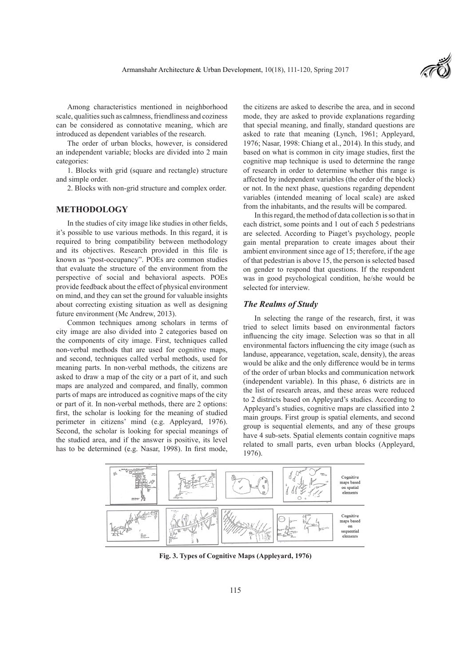

Among characteristics mentioned in neighborhood scale, qualities such as calmness, friendliness and coziness can be considered as connotative meaning, which are introduced as dependent variables of the research.

The order of urban blocks, however, is considered an independent variable; blocks are divided into 2 main categories:

1. Blocks with grid (square and rectangle) structure and simple order.

2. Blocks with non-grid structure and complex order.

### **METHODOLOGY**

In the studies of city image like studies in other fields, it's possible to use various methods. In this regard, it is required to bring compatibility between methodology and its objectives. Research provided in this file is known as "post-occupancy". POEs are common studies that evaluate the structure of the environment from the perspective of social and behavioral aspects. POEs provide feedback about the effect of physical environment on mind, and they can set the ground for valuable insights about correcting existing situation as well as designing future environment (Mc Andrew, 2013).

Common techniques among scholars in terms of city image are also divided into 2 categories based on the components of city image. First, techniques called non-verbal methods that are used for cognitive maps, and second, techniques called verbal methods, used for meaning parts. In non-verbal methods, the citizens are asked to draw a map of the city or a part of it, and such maps are analyzed and compared, and finally, common parts of maps are introduced as cognitive maps of the city or part of it. In non-verbal methods, there are 2 options: first, the scholar is looking for the meaning of studied perimeter in citizens' mind (e.g. Appleyard, 1976). Second, the scholar is looking for special meanings of the studied area, and if the answer is positive, its level has to be determined (e.g. Nasar, 1998). In first mode,

the citizens are asked to describe the area, and in second mode, they are asked to provide explanations regarding that special meaning, and finally, standard questions are asked to rate that meaning (Lynch, 1961; Appleyard, 1976; Nasar, 1998: Chiang et al., 2014). In this study, and based on what is common in city image studies, first the cognitive map technique is used to determine the range of research in order to determine whether this range is affected by independent variables (the order of the block) or not. In the next phase, questions regarding dependent variables (intended meaning of local scale) are asked from the inhabitants, and the results will be compared.

In this regard, the method of data collection is so that in each district, some points and 1 out of each 5 pedestrians are selected. According to Piaget's psychology, people gain mental preparation to create images about their ambient environment since age of 15; therefore, if the age of that pedestrian is above 15, the person is selected based on gender to respond that questions. If the respondent was in good psychological condition, he/she would be selected for interview.

#### *The Realms of Study*

In selecting the range of the research, first, it was tried to select limits based on environmental factors influencing the city image. Selection was so that in all environmental factors influencing the city image (such as landuse, appearance, vegetation, scale, density), the areas would be alike and the only difference would be in terms of the order of urban blocks and communication network (independent variable). In this phase, 6 districts are in the list of research areas, and these areas were reduced to 2 districts based on Appleyard's studies. According to Appleyard's studies, cognitive maps are classified into 2 main groups. First group is spatial elements, and second group is sequential elements, and any of these groups have 4 sub-sets. Spatial elements contain cognitive maps related to small parts, even urban blocks (Appleyard, 1976).



**Fig. 3. Types of Cognitive Maps (Appleyard, 1976)**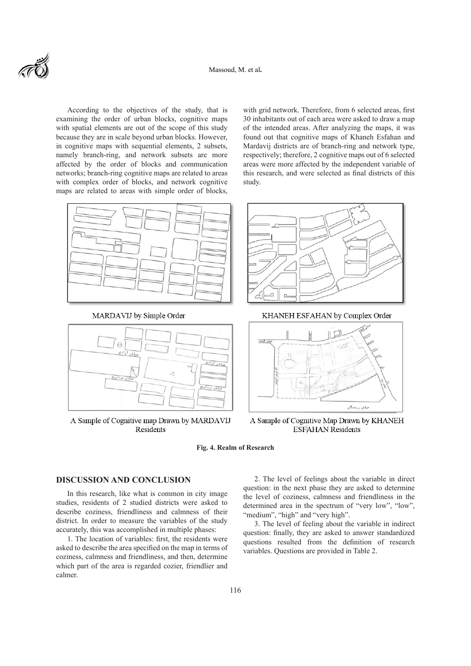

According to the objectives of the study, that is examining the order of urban blocks, cognitive maps with spatial elements are out of the scope of this study because they are in scale beyond urban blocks. However, in cognitive maps with sequential elements, 2 subsets, namely branch-ring, and network subsets are more affected by the order of blocks and communication networks; branch-ring cognitive maps are related to areas with complex order of blocks, and network cognitive maps are related to areas with simple order of blocks,



MARDAVIJ by Simple Order



A Sample of Cognitive map Drawn by MARDAVIJ Residents

with grid network. Therefore, from 6 selected areas, first 30 inhabitants out of each area were asked to draw a map of the intended areas. After analyzing the maps, it was found out that cognitive maps of Khaneh Esfahan and Mardavij districts are of branch-ring and network type, respectively; therefore, 2 cognitive maps out of 6 selected areas were more affected by the independent variable of this research, and were selected as final districts of this study.



KHANEH ESFAHAN by Complex Order



A Sample of Cognitive Map Drawn by KHANEH **ESFAHAN Residents** 

**Fig. 4. Realm of Research**

# **DISCUSSION AND CONCLUSION**

In this research, like what is common in city image studies, residents of 2 studied districts were asked to describe coziness, friendliness and calmness of their district. In order to measure the variables of the study accurately, this was accomplished in multiple phases:

1. The location of variables: first, the residents were asked to describe the area specified on the map in terms of coziness, calmness and friendliness, and then, determine which part of the area is regarded cozier, friendlier and calmer.

2. The level of feelings about the variable in direct question: in the next phase they are asked to determine the level of coziness, calmness and friendliness in the determined area in the spectrum of "very low", "low", "medium", "high" and "very high".

3. The level of feeling about the variable in indirect question: finally, they are asked to answer standardized questions resulted from the definition of research variables. Questions are provided in Table 2.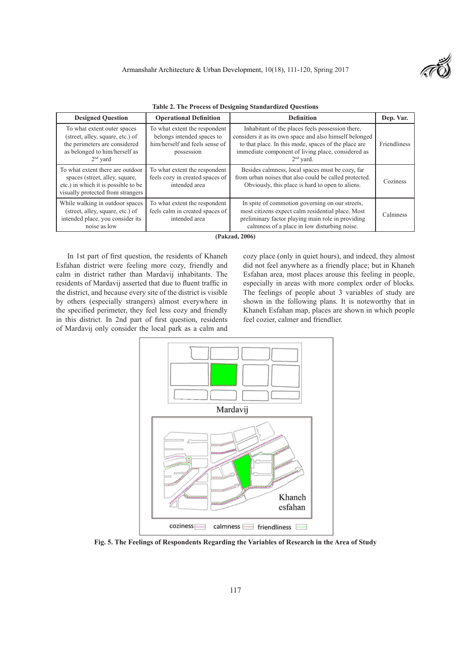

|  |  |  |  |  |  |  | <b>Table 2. The Process of Designing Standardized Questions</b> |
|--|--|--|--|--|--|--|-----------------------------------------------------------------|
|--|--|--|--|--|--|--|-----------------------------------------------------------------|

| <b>Designed Question</b>                                                                                                                        | <b>Operational Definition</b>                                                                               | <b>Definition</b>                                                                                                                                                                                                                        | Dep. Var.    |  |
|-------------------------------------------------------------------------------------------------------------------------------------------------|-------------------------------------------------------------------------------------------------------------|------------------------------------------------------------------------------------------------------------------------------------------------------------------------------------------------------------------------------------------|--------------|--|
| To what extent outer spaces<br>(street, alley, square, etc.) of<br>the perimeters are considered<br>as belonged to him/herself as<br>$2nd$ vard | To what extent the respondent<br>belongs intended spaces to<br>him/herself and feels sense of<br>possession | Inhabitant of the places feels possession there,<br>considers it as its own space and also himself belonged<br>to that place. In this mode, spaces of the place are<br>immediate component of living place, considered as<br>$2nd$ yard. | Friendliness |  |
| To what extent there are outdoor<br>spaces (street, alley, square,<br>etc.) in which it is possible to be<br>visually protected from strangers  | To what extent the respondent<br>feels cozy in created spaces of<br>intended area                           | Besides calmness, local spaces must be cozy, far<br>from urban noises that also could be called protected.<br>Obviously, this place is hard to open to aliens.                                                                           | Coziness     |  |
| While walking in outdoor spaces<br>(street, alley, square, etc.) of<br>intended place, you consider its<br>noise as low                         | To what extent the respondent<br>feels calm in created spaces of<br>intended area                           | In spite of commotion governing on our streets,<br>most citizens expect calm residential place. Most<br>preliminary factor playing main role in providing<br>calmness of a place in low disturbing noise.                                | Calmness     |  |

**(Pakzad, 2006)**

In 1st part of first question, the residents of Khaneh Esfahan district were feeling more cozy, friendly and calm in district rather than Mardavij inhabitants. The residents of Mardavij asserted that due to fluent traffic in the district, and because every site of the district is visible by others (especially strangers) almost everywhere in the specified perimeter, they feel less cozy and friendly in this district. In 2nd part of first question, residents of Mardavij only consider the local park as a calm and

cozy place (only in quiet hours), and indeed, they almost did not feel anywhere as a friendly place; but in Khaneh Esfahan area, most places arouse this feeling in people, especially in areas with more complex order of blocks. The feelings of people about 3 variables of study are shown in the following plans. It is noteworthy that in Khaneh Esfahan map, places are shown in which people feel cozier, calmer and friendlier.



**Fig. 5. The Feelings of Respondents Regarding the Variables of Research in the Area of Study**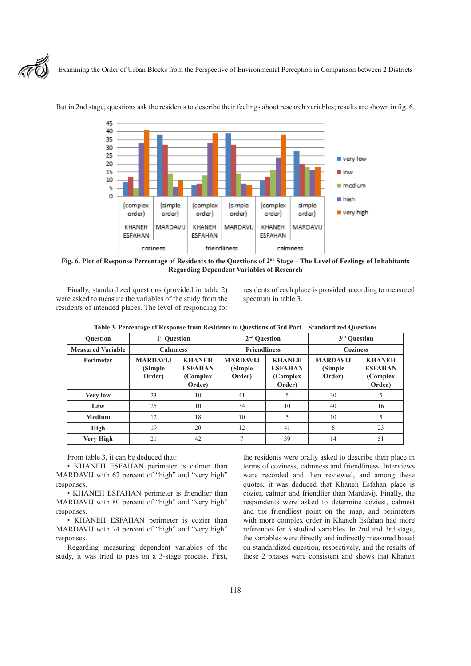

Examining the Order of Urban Blocks from the Perspective of Environmental Perception in Comparison between 2 Districts



But in 2nd stage, questions ask the residents to describe their feelings about research variables; results are shown in fig. 6.

Fig. 6. Plot of Response Percentage of Residents to the Questions of 2<sup>nd</sup> Stage – The Level of Feelings of Inhabitants **Regarding Dependent Variables of Research**

Finally, standardized questions (provided in table 2) were asked to measure the variables of the study from the residents of intended places. The level of responding for residents of each place is provided according to measured spectrum in table 3.

| <b>Ouestion</b>          | 1 <sup>st</sup> Ouestion              |                                                        | 2 <sup>nd</sup> Ouestion             |                                                        | 3 <sup>rd</sup> Ouestion             |                                                       |
|--------------------------|---------------------------------------|--------------------------------------------------------|--------------------------------------|--------------------------------------------------------|--------------------------------------|-------------------------------------------------------|
| <b>Measured Variable</b> | <b>Calmness</b>                       |                                                        | <b>Friendliness</b>                  |                                                        | <b>Coziness</b>                      |                                                       |
| <b>Perimeter</b>         | <b>MARDAVLI</b><br>(Simple)<br>Order) | <b>KHANEH</b><br><b>ESFAHAN</b><br>(Complex)<br>Order) | <b>MARDAVIJ</b><br>(Simple<br>Order) | <b>KHANEH</b><br><b>ESFAHAN</b><br>(Complex)<br>Order) | <b>MARDAVIJ</b><br>(Simple<br>Order) | <b>KHANEH</b><br><b>ESFAHAN</b><br>(Complex<br>Order) |
| <b>Very low</b>          | 23                                    | 10                                                     | 41                                   |                                                        | 30                                   |                                                       |
| Low                      | 25                                    | 10                                                     | 34                                   | 10                                                     | 40                                   | 16                                                    |
| <b>Medium</b>            | 12                                    | 18                                                     | 10                                   |                                                        | 10                                   | 5                                                     |
| High                     | 19                                    | 20                                                     | 12                                   | 41                                                     | 6                                    | 23                                                    |
| Very High                | 21                                    | 42                                                     | $\overline{7}$                       | 39                                                     | 14                                   | 51                                                    |

**Table 3. Percentage of Response from Residents to Questions of 3rd Part – Standardized Questions**

From table 3, it can be deduced that:

• KHANEH ESFAHAN perimeter is calmer than MARDAVIJ with 62 percent of "high" and "very high" responses.

• KHANEH ESFAHAN perimeter is friendlier than MARDAVIJ with 80 percent of "high" and "very high" responses.

• KHANEH ESFAHAN perimeter is cozier than MARDAVIJ with 74 percent of "high" and "very high" responses.

Regarding measuring dependent variables of the study, it was tried to pass on a 3-stage process. First,

the residents were orally asked to describe their place in terms of coziness, calmness and friendliness. Interviews were recorded and then reviewed, and among these quotes, it was deduced that Khaneh Esfahan place is cozier, calmer and friendlier than Mardavij. Finally, the respondents were asked to determine coziest, calmest and the friendliest point on the map, and perimeters with more complex order in Khaneh Esfahan had more references for 3 studied variables. In 2nd and 3rd stage, the variables were directly and indirectly measured based on standardized question, respectively, and the results of these 2 phases were consistent and shows that Khaneh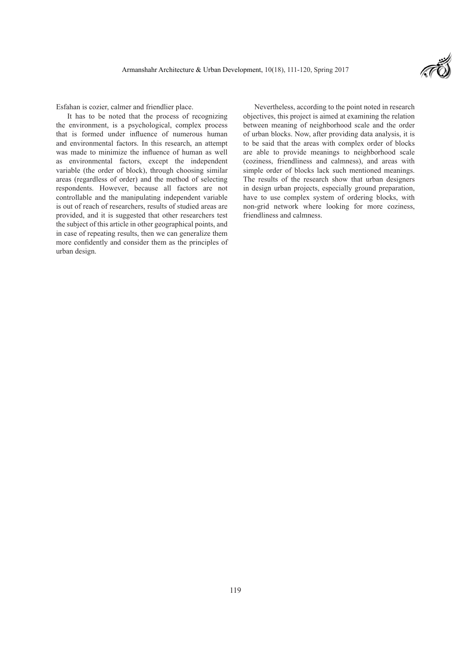

Esfahan is cozier, calmer and friendlier place.

It has to be noted that the process of recognizing the environment, is a psychological, complex process that is formed under influence of numerous human and environmental factors. In this research, an attempt was made to minimize the influence of human as well as environmental factors, except the independent variable (the order of block), through choosing similar areas (regardless of order) and the method of selecting respondents. However, because all factors are not controllable and the manipulating independent variable is out of reach of researchers, results of studied areas are provided, and it is suggested that other researchers test the subject of this article in other geographical points, and in case of repeating results, then we can generalize them more confidently and consider them as the principles of urban design.

Nevertheless, according to the point noted in research objectives, this project is aimed at examining the relation between meaning of neighborhood scale and the order of urban blocks. Now, after providing data analysis, it is to be said that the areas with complex order of blocks are able to provide meanings to neighborhood scale (coziness, friendliness and calmness), and areas with simple order of blocks lack such mentioned meanings. The results of the research show that urban designers in design urban projects, especially ground preparation, have to use complex system of ordering blocks, with non-grid network where looking for more coziness, friendliness and calmness.